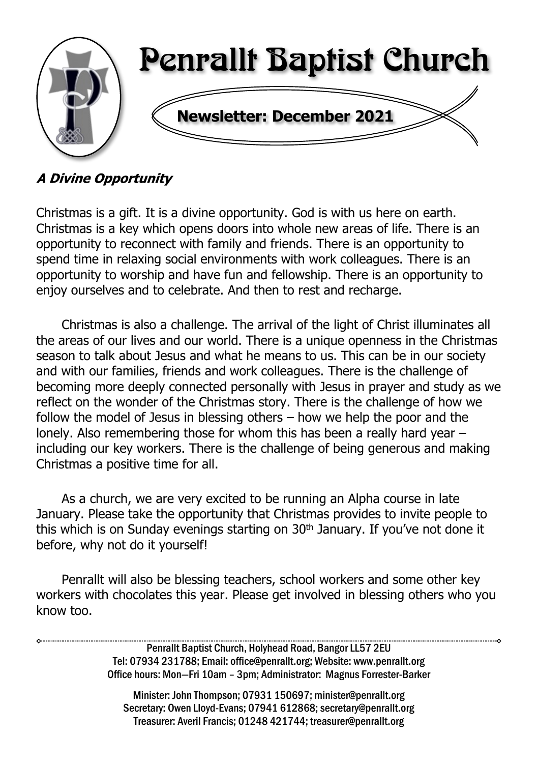

### **A Divine Opportunity**

Christmas is a gift. It is a divine opportunity. God is with us here on earth. Christmas is a key which opens doors into whole new areas of life. There is an opportunity to reconnect with family and friends. There is an opportunity to spend time in relaxing social environments with work colleagues. There is an opportunity to worship and have fun and fellowship. There is an opportunity to enjoy ourselves and to celebrate. And then to rest and recharge.

Christmas is also a challenge. The arrival of the light of Christ illuminates all the areas of our lives and our world. There is a unique openness in the Christmas season to talk about Jesus and what he means to us. This can be in our society and with our families, friends and work colleagues. There is the challenge of becoming more deeply connected personally with Jesus in prayer and study as we reflect on the wonder of the Christmas story. There is the challenge of how we follow the model of Jesus in blessing others – how we help the poor and the lonely. Also remembering those for whom this has been a really hard year – including our key workers. There is the challenge of being generous and making Christmas a positive time for all.

As a church, we are very excited to be running an Alpha course in late January. Please take the opportunity that Christmas provides to invite people to this which is on Sunday evenings starting on 30<sup>th</sup> January. If you've not done it before, why not do it yourself!

Penrallt will also be blessing teachers, school workers and some other key workers with chocolates this year. Please get involved in blessing others who you know too.

> Penrallt Baptist Church, Holyhead Road, Bangor LL57 2EU Tel: 07934 231788; Email: office@penrallt.org; Website: www.penrallt.org Office hours: Mon—Fri 10am – 3pm; Administrator: Magnus Forrester-Barker

Minister: John Thompson; 07931 150697; minister@penrallt.org Secretary: Owen Lloyd-Evans; 07941 612868; secretary@penrallt.org Treasurer: Averil Francis; 01248 421744; treasurer@penrallt.org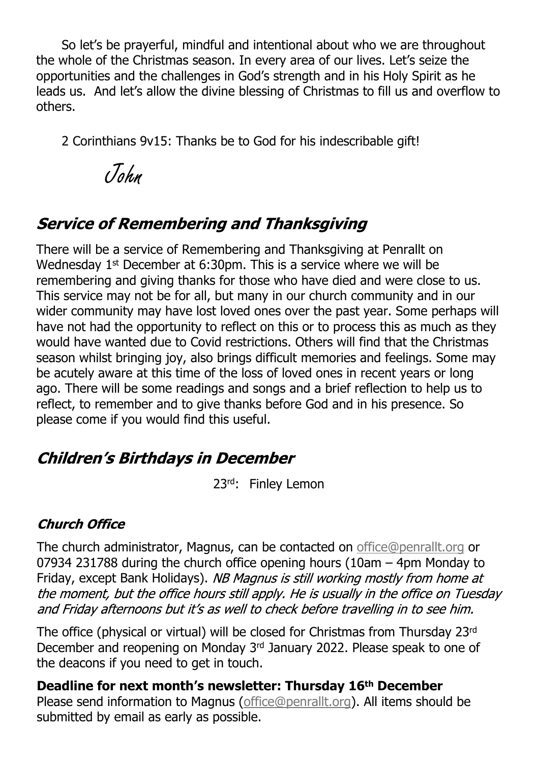So let's be prayerful, mindful and intentional about who we are throughout the whole of the Christmas season. In every area of our lives. Let's seize the opportunities and the challenges in God's strength and in his Holy Spirit as he leads us. And let's allow the divine blessing of Christmas to fill us and overflow to others.

2 Corinthians 9v15: Thanks be to God for his indescribable gift!

John

# **Service of Remembering and Thanksgiving**

There will be a service of Remembering and Thanksgiving at Penrallt on Wednesday 1<sup>st</sup> December at 6:30pm. This is a service where we will be remembering and giving thanks for those who have died and were close to us. This service may not be for all, but many in our church community and in our wider community may have lost loved ones over the past year. Some perhaps will have not had the opportunity to reflect on this or to process this as much as they would have wanted due to Covid restrictions. Others will find that the Christmas season whilst bringing joy, also brings difficult memories and feelings. Some may be acutely aware at this time of the loss of loved ones in recent years or long ago. There will be some readings and songs and a brief reflection to help us to reflect, to remember and to give thanks before God and in his presence. So please come if you would find this useful.

### **Children's Birthdays in December**

23rd: Finley Lemon

### **Church Office**

The church administrator, Magnus, can be contacted on [office@penrallt.org](mailto:office@penrallt.org) or 07934 231788 during the church office opening hours (10am – 4pm Monday to Friday, except Bank Holidays). NB Magnus is still working mostly from home at the moment, but the office hours still apply. He is usually in the office on Tuesday and Friday afternoons but it's as well to check before travelling in to see him.

The office (physical or virtual) will be closed for Christmas from Thursday 23rd December and reopening on Monday 3rd January 2022. Please speak to one of the deacons if you need to get in touch.

**Deadline for next month's newsletter: Thursday 16th December** Please send information to Magnus [\(office@penrallt.org\)](mailto:office@penrallt.org). All items should be submitted by email as early as possible.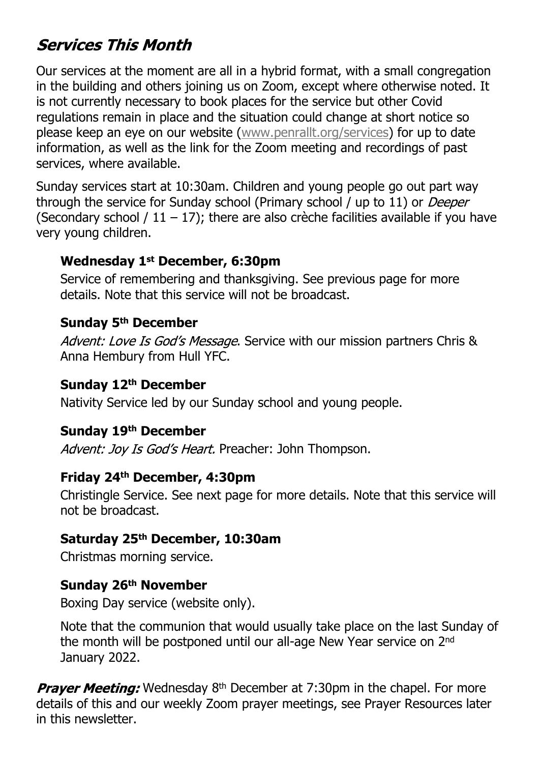# **Services This Month**

Our services at the moment are all in a hybrid format, with a small congregation in the building and others joining us on Zoom, except where otherwise noted. It is not currently necessary to book places for the service but other Covid regulations remain in place and the situation could change at short notice so please keep an eye on our website ([www.penrallt.org/services](https://www.penrallt.org/services/index.php)) for up to date information, as well as the link for the Zoom meeting and recordings of past services, where available.

Sunday services start at 10:30am. Children and young people go out part way through the service for Sunday school (Primary school / up to 11) or Deeper (Secondary school /  $11 - 17$ ); there are also crèche facilities available if you have very young children.

#### **Wednesday 1st December, 6:30pm**

Service of remembering and thanksgiving. See previous page for more details. Note that this service will not be broadcast.

#### **Sunday 5th December**

Advent: Love Is God's Message. Service with our mission partners Chris & Anna Hembury from Hull YFC.

#### **Sunday 12th December**

Nativity Service led by our Sunday school and young people.

#### **Sunday 19th December**

Advent: Joy Is God's Heart. Preacher: John Thompson.

#### **Friday 24th December, 4:30pm**

Christingle Service. See next page for more details. Note that this service will not be broadcast.

#### **Saturday 25th December, 10:30am**

Christmas morning service.

#### **Sunday 26th November**

Boxing Day service (website only).

Note that the communion that would usually take place on the last Sunday of the month will be postponed until our all-age New Year service on 2nd January 2022.

**Praver Meeting:** Wednesday 8<sup>th</sup> December at 7:30pm in the chapel. For more details of this and our weekly Zoom prayer meetings, see Prayer Resources later in this newsletter.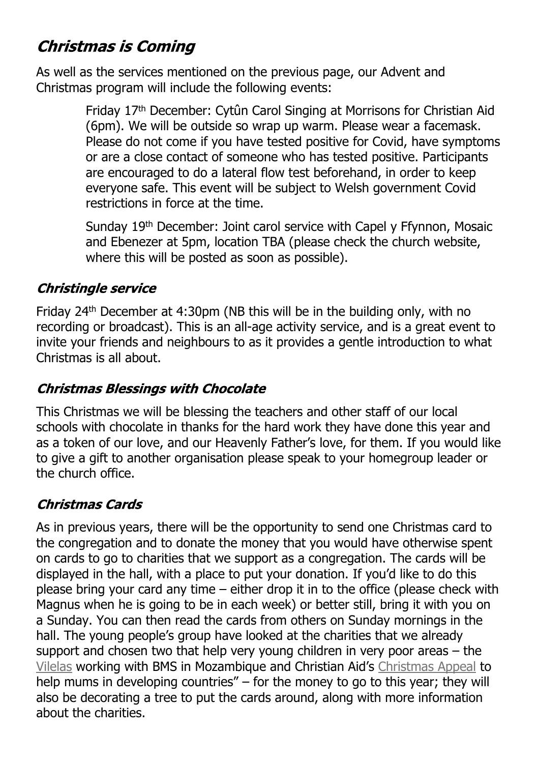# **Christmas is Coming**

As well as the services mentioned on the previous page, our Advent and Christmas program will include the following events:

> Friday 17th December: Cytûn Carol Singing at Morrisons for Christian Aid (6pm). We will be outside so wrap up warm. Please wear a facemask. Please do not come if you have tested positive for Covid, have symptoms or are a close contact of someone who has tested positive. Participants are encouraged to do a lateral flow test beforehand, in order to keep everyone safe. This event will be subject to Welsh government Covid restrictions in force at the time.

Sunday 19<sup>th</sup> December: Joint carol service with Capel y Ffynnon, Mosaic and Ebenezer at 5pm, location TBA (please check the church website, where this will be posted as soon as possible).

### **Christingle service**

Friday 24th December at 4:30pm (NB this will be in the building only, with no recording or broadcast). This is an all-age activity service, and is a great event to invite your friends and neighbours to as it provides a gentle introduction to what Christmas is all about.

### **Christmas Blessings with Chocolate**

This Christmas we will be blessing the teachers and other staff of our local schools with chocolate in thanks for the hard work they have done this year and as a token of our love, and our Heavenly Father's love, for them. If you would like to give a gift to another organisation please speak to your homegroup leader or the church office.

### **Christmas Cards**

As in previous years, there will be the opportunity to send one Christmas card to the congregation and to donate the money that you would have otherwise spent on cards to go to charities that we support as a congregation. The cards will be displayed in the hall, with a place to put your donation. If you'd like to do this please bring your card any time – either drop it in to the office (please check with Magnus when he is going to be in each week) or better still, bring it with you on a Sunday. You can then read the cards from others on Sunday mornings in the hall. The young people's group have looked at the charities that we already support and chosen two that help very young children in very poor areas – the [Vilelas](https://www.bmsworldmission.org/people/liz-and-sergio-vilela/) working with BMS in Mozambique and Christian Aid's [Christmas Appeal](https://www.christianaid.org.uk/appeals/key-appeals/christmas-appeal) to help mums in developing countries" – for the money to go to this year; they will also be decorating a tree to put the cards around, along with more information about the charities.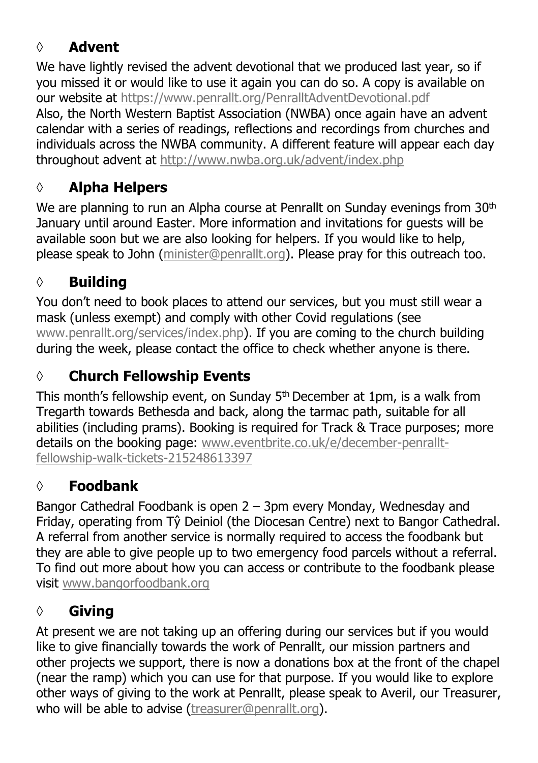## **◊ Advent**

We have lightly revised the advent devotional that we produced last year, so if you missed it or would like to use it again you can do so. A copy is available on our website at <https://www.penrallt.org/PenralltAdventDevotional.pdf> Also, the North Western Baptist Association (NWBA) once again have an advent calendar with a series of readings, reflections and recordings from churches and individuals across the NWBA community. A different feature will appear each day throughout advent at <http://www.nwba.org.uk/advent/index.php>

## **◊ Alpha Helpers**

We are planning to run an Alpha course at Penrallt on Sunday evenings from 30<sup>th</sup> January until around Easter. More information and invitations for guests will be available soon but we are also looking for helpers. If you would like to help, please speak to John ([minister@penrallt.org\)](mailto:minister@penrallt.org). Please pray for this outreach too.

## **◊ Building**

You don't need to book places to attend our services, but you must still wear a mask (unless exempt) and comply with other Covid regulations (see [www.penrallt.org/services/index.php](https://www.penrallt.org/services/index.php)). If you are coming to the church building during the week, please contact the office to check whether anyone is there.

# **◊ Church Fellowship Events**

This month's fellowship event, on Sunday 5<sup>th</sup> December at 1pm, is a walk from Tregarth towards Bethesda and back, along the tarmac path, suitable for all abilities (including prams). Booking is required for Track & Trace purposes; more details on the booking page: [www.eventbrite.co.uk/e/december-penrallt](https://www.eventbrite.co.uk/e/december-penrallt-fellowship-walk-tickets-215248613397)[fellowship-walk-tickets-215248613397](https://www.eventbrite.co.uk/e/december-penrallt-fellowship-walk-tickets-215248613397)

### **◊ Foodbank**

Bangor Cathedral Foodbank is open 2 – 3pm every Monday, Wednesday and Friday, operating from Tŷ Deiniol (the Diocesan Centre) next to Bangor Cathedral. A referral from another service is normally required to access the foodbank but they are able to give people up to two emergency food parcels without a referral. To find out more about how you can access or contribute to the foodbank please visit [www.bangorfoodbank.org](https://www.bangorfoodbank.org)

## **◊ Giving**

At present we are not taking up an offering during our services but if you would like to give financially towards the work of Penrallt, our mission partners and other projects we support, there is now a donations box at the front of the chapel (near the ramp) which you can use for that purpose. If you would like to explore other ways of giving to the work at Penrallt, please speak to Averil, our Treasurer, who will be able to advise [\(treasurer@penrallt.org\)](mailto:treasurer@penrallt.org).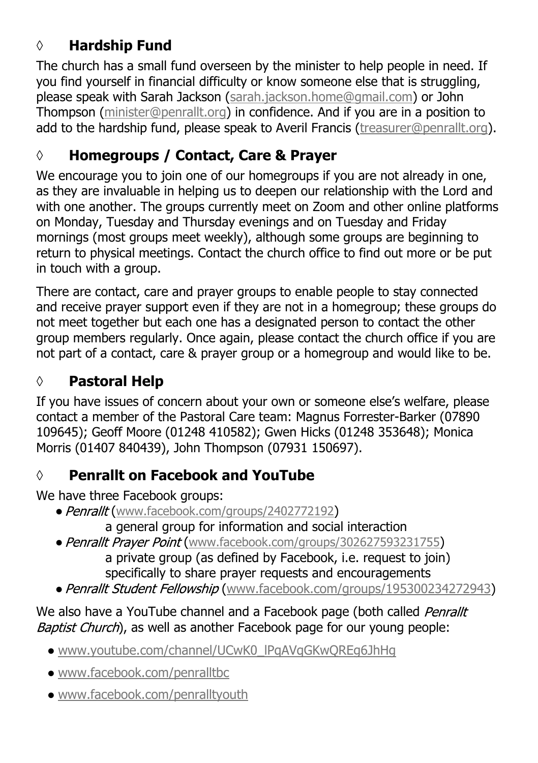## **◊ Hardship Fund**

The church has a small fund overseen by the minister to help people in need. If you find yourself in financial difficulty or know someone else that is struggling, please speak with Sarah Jackson ([sarah.jackson.home@gmail.com](mailto:sarah.jackson.home@gmail.com)) or John Thompson ([minister@penrallt.org\)](mailto:minister@penrallt.org) in confidence. And if you are in a position to add to the hardship fund, please speak to Averil Francis ([treasurer@penrallt.org\)](mailto:treasurer@penrallt.org).

## **◊ Homegroups / Contact, Care & Prayer**

We encourage you to join one of our homegroups if you are not already in one, as they are invaluable in helping us to deepen our relationship with the Lord and with one another. The groups currently meet on Zoom and other online platforms on Monday, Tuesday and Thursday evenings and on Tuesday and Friday mornings (most groups meet weekly), although some groups are beginning to return to physical meetings. Contact the church office to find out more or be put in touch with a group.

There are contact, care and prayer groups to enable people to stay connected and receive prayer support even if they are not in a homegroup; these groups do not meet together but each one has a designated person to contact the other group members regularly. Once again, please contact the church office if you are not part of a contact, care & prayer group or a homegroup and would like to be.

# **◊ Pastoral Help**

If you have issues of concern about your own or someone else's welfare, please contact a member of the Pastoral Care team: Magnus Forrester-Barker (07890 109645); Geoff Moore (01248 410582); Gwen Hicks (01248 353648); Monica Morris (01407 840439), John Thompson (07931 150697).

## **◊ Penrallt on Facebook and YouTube**

We have three Facebook groups:

- Penrallt ([www.facebook.com/groups/2402772192](https://www.facebook.com/groups/2402772192))
	- a general group for information and social interaction
- Penrallt Prayer Point ([www.facebook.com/groups/302627593231755](https://www.facebook.com/groups/302627593231755))

 a private group (as defined by Facebook, i.e. request to join) specifically to share prayer requests and encouragements

• Penrallt Student Fellowship ([www.facebook.com/groups/195300234272943](https://www.facebook.com/groups/195300234272943))

We also have a YouTube channel and a Facebook page (both called Penrallt Baptist Church), as well as another Facebook page for our young people:

- [www.youtube.com/channel/UCwK0\\_lPqAVqGKwQREg6JhHg](https://www.youtube.com/channel/UCwK0_lPqAVqGKwQREg6JhHg)
- [www.facebook.com/penralltbc](https://www.facebook.com/penralltbc)
- [www.facebook.com/penralltyouth](https://www.facebook.com/penralltyouth)